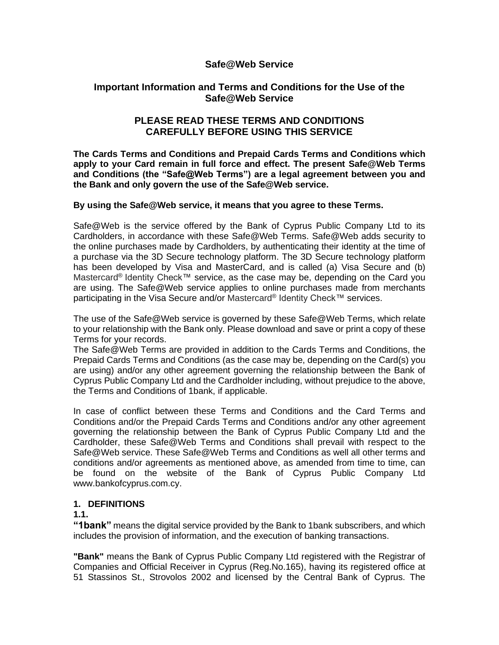# **Safe@Web Service**

# **Important Information and Terms and Conditions for the Use of the Safe@Web Service**

# **PLEASE READ THESE TERMS AND CONDITIONS CAREFULLY BEFORE USING THIS SERVICE**

**The Cards Terms and Conditions and Prepaid Cards Terms and Conditions which apply to your Card remain in full force and effect. The present Safe@Web Terms and Conditions (the "Safe@Web Terms") are a legal agreement between you and the Bank and only govern the use of the Safe@Web service.**

#### **By using the Safe@Web service, it means that you agree to these Terms.**

Safe@Web is the service offered by the Bank of Cyprus Public Company Ltd to its Cardholders, in accordance with these Safe@Web Terms. Safe@Web adds security to the online purchases made by Cardholders, by authenticating their identity at the time of a purchase via the 3D Secure technology platform. The 3D Secure technology platform has been developed by Visa and MasterCard, and is called (a) Visa Secure and (b) Mastercard® Identity Check™ service, as the case may be, depending on the Card you are using. The Safe@Web service applies to online purchases made from merchants participating in the Visa Secure and/or Mastercard® Identity Check™ services.

The use of the Safe@Web service is governed by these Safe@Web Terms, which relate to your relationship with the Bank only. Please download and save or print a copy of these Terms for your records.

The Safe@Web Terms are provided in addition to the Cards Terms and Conditions, the Prepaid Cards Terms and Conditions (as the case may be, depending on the Card(s) you are using) and/or any other agreement governing the relationship between the Bank of Cyprus Public Company Ltd and the Cardholder including, without prejudice to the above, the Terms and Conditions of 1bank, if applicable.

In case of conflict between these Terms and Conditions and the Card Terms and Conditions and/or the Prepaid Cards Terms and Conditions and/or any other agreement governing the relationship between the Bank of Cyprus Public Company Ltd and the Cardholder, these Safe@Web Terms and Conditions shall prevail with respect to the Safe@Web service. These Safe@Web Terms and Conditions as well all other terms and conditions and/or agreements as mentioned above, as amended from time to time, can be found on the website of the Bank of Cyprus Public Company Ltd www.bankofcyprus.com.cy.

#### **1. DEFINITIONS**

#### **1.1.**

**"1bank"** means the digital service provided by the Bank to 1bank subscribers, and which includes the provision of information, and the execution of banking transactions.

**"Bank"** means the Bank of Cyprus Public Company Ltd registered with the Registrar of Companies and Official Receiver in Cyprus (Reg.No.165), having its registered office at 51 Stassinos St., Strovolos 2002 and licensed by the Central Bank of Cyprus. The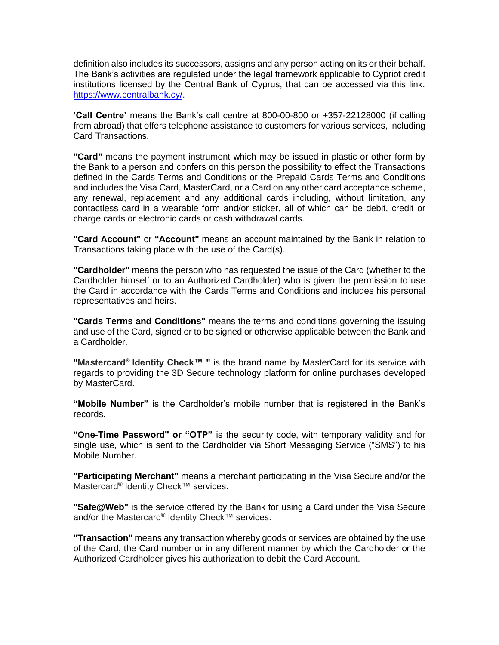definition also includes its successors, assigns and any person acting on its or their behalf. The Bank's activities are regulated under the legal framework applicable to Cypriot credit institutions licensed by the Central Bank of Cyprus, that can be accessed via this link: [https://www.centralbank.cy/.](https://www.centralbank.cy/)

**'Call Centre'** means the Bank's call centre at 800-00-800 or +357-22128000 (if calling from abroad) that offers telephone assistance to customers for various services, including Card Transactions.

**"Card"** means the payment instrument which may be issued in plastic or other form by the Bank to a person and confers on this person the possibility to effect the Transactions defined in the Cards Terms and Conditions or the Prepaid Cards Terms and Conditions and includes the Visa Card, MasterCard, or a Card on any other card acceptance scheme, any renewal, replacement and any additional cards including, without limitation, any contactless card in a wearable form and/or sticker, all of which can be debit, credit or charge cards or electronic cards or cash withdrawal cards.

**"Card Account"** or **"Account"** means an account maintained by the Bank in relation to Transactions taking place with the use of the Card(s).

**"Cardholder"** means the person who has requested the issue of the Card (whether to the Cardholder himself or to an Authorized Cardholder) who is given the permission to use the Card in accordance with the Cards Terms and Conditions and includes his personal representatives and heirs.

**"Cards Terms and Conditions"** means the terms and conditions governing the issuing and use of the Card, signed or to be signed or otherwise applicable between the Bank and a Cardholder.

**"Mastercard**® **Identity Check™ "** is the brand name by MasterCard for its service with regards to providing the 3D Secure technology platform for online purchases developed by MasterCard.

**"Mobile Number"** is the Cardholder's mobile number that is registered in the Bank's records.

**"One-Time Password" or "OTP"** is the security code, with temporary validity and for single use, which is sent to the Cardholder via Short Messaging Service ("SMS") to his Mobile Number.

**"Participating Merchant"** means a merchant participating in the Visa Secure and/or the Mastercard<sup>®</sup> Identity Check™ services.

**"Safe@Web"** is the service offered by the Bank for using a Card under the Visa Secure and/or the Mastercard® Identity Check™ services.

**"Transaction"** means any transaction whereby goods or services are obtained by the use of the Card, the Card number or in any different manner by which the Cardholder or the Authorized Cardholder gives his authorization to debit the Card Account.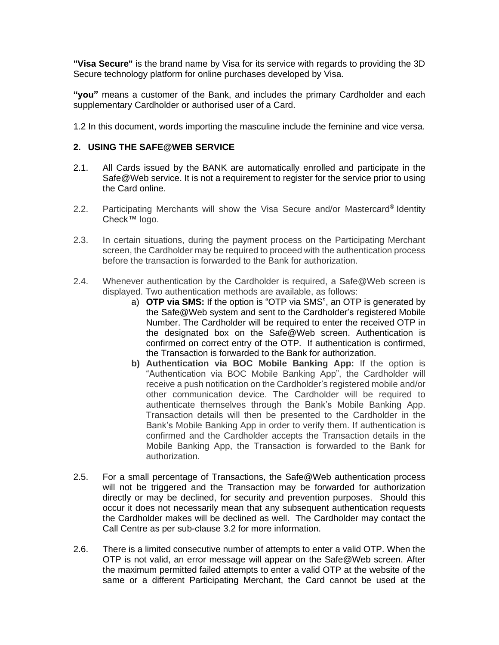**"Visa Secure"** is the brand name by Visa for its service with regards to providing the 3D Secure technology platform for online purchases developed by Visa.

**"you"** means a customer of the Bank, and includes the primary Cardholder and each supplementary Cardholder or authorised user of a Card.

1.2 In this document, words importing the masculine include the feminine and vice versa.

#### **2. USING THE SAFE@WEB SERVICE**

- 2.1. All Cards issued by the BANK are automatically enrolled and participate in the Safe@Web service. It is not a requirement to register for the service prior to using the Card online.
- 2.2. Participating Merchants will show the Visa Secure and/or Mastercard® Identity Check™ logo.
- 2.3. In certain situations, during the payment process on the Participating Merchant screen, the Cardholder may be required to proceed with the authentication process before the transaction is forwarded to the Bank for authorization.
- 2.4. Whenever authentication by the Cardholder is required, a Safe@Web screen is displayed. Two authentication methods are available, as follows:
	- a) **OTP via SMS:** If the option is "OTP via SMS", an OTP is generated by the Safe@Web system and sent to the Cardholder's registered Mobile Number. The Cardholder will be required to enter the received OTP in the designated box on the Safe@Web screen. Authentication is confirmed on correct entry of the OTP. If authentication is confirmed, the Transaction is forwarded to the Bank for authorization.
	- **b) Authentication via BOC Mobile Banking App:** If the option is "Authentication via BOC Mobile Banking App", the Cardholder will receive a push notification on the Cardholder's registered mobile and/or other communication device. The Cardholder will be required to authenticate themselves through the Bank's Mobile Banking App. Transaction details will then be presented to the Cardholder in the Bank's Mobile Banking App in order to verify them. If authentication is confirmed and the Cardholder accepts the Transaction details in the Mobile Banking App, the Transaction is forwarded to the Bank for authorization.
- 2.5. For a small percentage of Transactions, the Safe@Web authentication process will not be triggered and the Transaction may be forwarded for authorization directly or may be declined, for security and prevention purposes. Should this occur it does not necessarily mean that any subsequent authentication requests the Cardholder makes will be declined as well. The Cardholder may contact the Call Centre as per sub-clause 3.2 for more information.
- 2.6. There is a limited consecutive number of attempts to enter a valid OTP. When the OTP is not valid, an error message will appear on the Safe@Web screen. After the maximum permitted failed attempts to enter a valid OTP at the website of the same or a different Participating Merchant, the Card cannot be used at the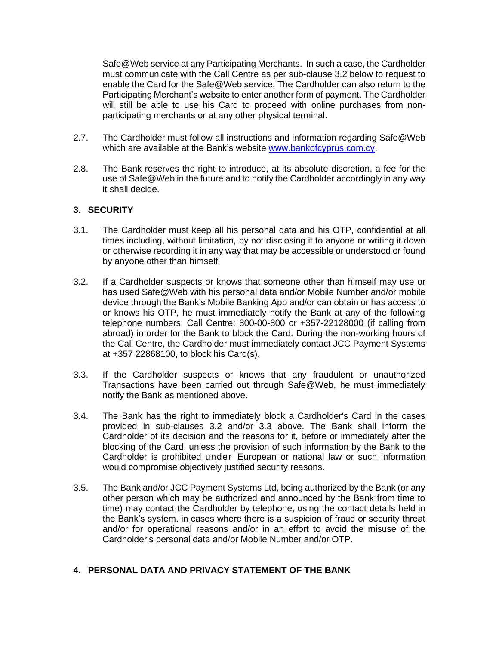Safe@Web service at any Participating Merchants. In such a case, the Cardholder must communicate with the Call Centre as per sub-clause 3.2 below to request to enable the Card for the Safe@Web service. The Cardholder can also return to the Participating Merchant's website to enter another form of payment. The Cardholder will still be able to use his Card to proceed with online purchases from nonparticipating merchants or at any other physical terminal.

- 2.7. The Cardholder must follow all instructions and information regarding Safe@Web [which](mailto:which) are available at the Bank's website [www.bankofcyprus.com.cy.](http://www.bankofcyprus.com.cy/)
- 2.8. The Bank reserves the right to introduce, at its absolute discretion, a fee for the use of Safe@Web in the future and to notify the Cardholder accordingly in any way it shall decide.

#### **3. SECURITY**

- 3.1. The Cardholder must keep all his personal data and his OTP, confidential at all times including, without limitation, by not disclosing it to anyone or writing it down or otherwise recording it in any way that may be accessible or understood or found by anyone other than himself.
- 3.2. If a Cardholder suspects or knows that someone other than himself may use or has used Safe@Web with his personal data and/or Mobile Number and/or mobile device through the Bank's Mobile Banking App and/or can obtain or has access to or knows his OTP, he must immediately notify the Bank at any of the following telephone numbers: Call Centre: 800-00-800 or +357-22128000 (if calling from abroad) in order for the Bank to block the Card. During the non-working hours of the Call Centre, the Cardholder must immediately contact JCC Payment Systems at +357 22868100, to block his Card(s).
- 3.3. If the Cardholder suspects or knows that any fraudulent or unauthorized Transactions have been carried out through Safe@Web, he must immediately notify the Bank as mentioned above.
- 3.4. The Bank has the right to immediately block a Cardholder's Card in the cases provided in sub-clauses 3.2 and/or 3.3 above. The Bank shall inform the Cardholder of its decision and the reasons for it, before or immediately after the blocking of the Card, unless the provision of such information by the Bank to the Cardholder is prohibited under European or national law or such information would compromise objectively justified security reasons.
- 3.5. The Bank and/or JCC Payment Systems Ltd, being authorized by the Bank (or any other person which may be authorized and announced by the Bank from time to time) may contact the Cardholder by telephone, using the contact details held in the Bank's system, in cases where there is a suspicion of fraud or security threat and/or for operational reasons and/or in an effort to avoid the misuse of the Cardholder's personal data and/or Mobile Number and/or OTP.

#### **4. PERSONAL DATA AND PRIVACY STATEMENT OF THE BANK**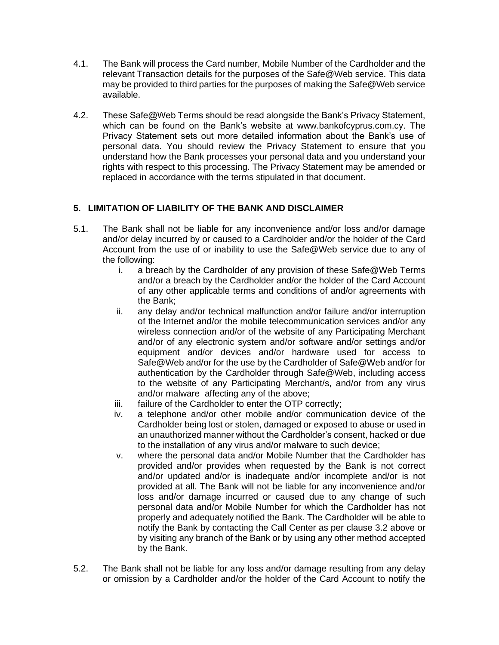- 4.1. The Bank will process the Card number, Mobile Number of the Cardholder and the relevant Transaction details for the purposes of the Safe@Web service. This data may be provided to third parties for the purposes of making the Safe@Web service available.
- 4.2. These Safe@Web Terms should be read alongside the Bank's Privacy Statement, which can be found on the Bank's website at www.bankofcyprus.com.cy. The Privacy Statement sets out more detailed information about the Bank's use of personal data. You should review the Privacy Statement to ensure that you understand how the Bank processes your personal data and you understand your rights with respect to this processing. The Privacy Statement may be amended or replaced in accordance with the terms stipulated in that document.

# **5. LIMITATION OF LIABILITY OF THE BANK AND DISCLAIMER**

- 5.1. The Bank shall not be liable for any inconvenience and/or loss and/or damage and/or delay incurred by or caused to a Cardholder and/or the holder of the Card Account from the use of or inability to use the Safe@Web service due to any of the following:
	- i. a breach by the Cardholder of any provision of these Safe@Web Terms and/or a breach by the Cardholder and/or the holder of the Card Account of any other applicable terms and conditions of and/or agreements with the Bank;
	- ii. any delay and/or technical malfunction and/or failure and/or interruption of the Internet and/or the mobile telecommunication services and/or any wireless connection and/or of the website of any Participating Merchant and/or of any electronic system and/or software and/or settings and/or equipment and/or devices and/or hardware used for access to Safe@Web and/or for the use by the Cardholder of Safe@Web and/or for authentication by the Cardholder through Safe@Web, including access to the website of any Participating Merchant/s, and/or from any virus and/or malware affecting any of the above;
	- iii. failure of the Cardholder to enter the OTP correctly;
	- iv. a telephone and/or other mobile and/or communication device of the Cardholder being lost or stolen, damaged or exposed to abuse or used in an unauthorized manner without the Cardholder's consent, hacked or due to the installation of any virus and/or malware to such device;
	- v. where the personal data and/or Mobile Number that the Cardholder has provided and/or provides when requested by the Bank is not correct and/or updated and/or is inadequate and/or incomplete and/or is not provided at all. The Bank will not be liable for any inconvenience and/or loss and/or damage incurred or caused due to any change of such personal data and/or Mobile Number for which the Cardholder has not properly and adequately notified the Bank. The Cardholder will be able to notify the Bank by contacting the Call Center as per clause 3.2 above or by visiting any branch of the Bank or by using any other method accepted by the Bank.
- 5.2. The Bank shall not be liable for any loss and/or damage resulting from any delay or omission by a Cardholder and/or the holder of the Card Account to notify the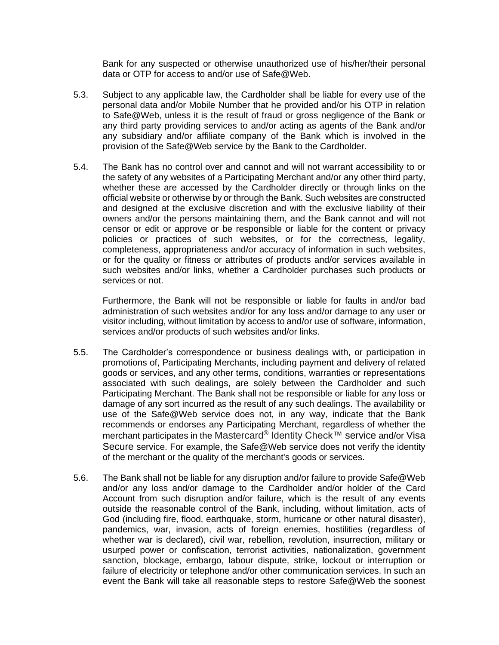Bank for any suspected or otherwise unauthorized use of his/her/their personal data or OTP for access to and/or use of Safe@Web.

- 5.3. Subject to any applicable law, the Cardholder shall be liable for every use of the personal data and/or Mobile Number that he provided and/or his OTP in relation to Safe@Web, unless it is the result of fraud or gross negligence of the Bank or any third party providing services to and/or acting as agents of the Bank and/or any subsidiary and/or affiliate company of the Bank which is involved in the provision of the Safe@Web service by the Bank to the Cardholder.
- 5.4. The Bank has no control over and cannot and will not warrant accessibility to or the safety of any websites of a Participating Merchant and/or any other third party, whether these are accessed by the Cardholder directly or through links on the official website or otherwise by or through the Bank. Such websites are constructed and designed at the exclusive discretion and with the exclusive liability of their owners and/or the persons maintaining them, and the Bank cannot and will not censor or edit or approve or be responsible or liable for the content or privacy policies or practices of such websites, or for the correctness, legality, completeness, appropriateness and/or accuracy of information in such websites, or for the quality or fitness or attributes of products and/or services available in such websites and/or links, whether a Cardholder purchases such products or services or not.

Furthermore, the Bank will not be responsible or liable for faults in and/or bad administration of such websites and/or for any loss and/or damage to any user or visitor including, without limitation by access to and/or use of software, information, services and/or products of such websites and/or links.

- 5.5. The Cardholder's correspondence or business dealings with, or participation in promotions of, Participating Merchants, including payment and delivery of related goods or services, and any other terms, conditions, warranties or representations associated with such dealings, are solely between the Cardholder and such Participating Merchant. The Bank shall not be responsible or liable for any loss or damage of any sort incurred as the result of any such dealings. The availability or use of the Safe@Web service does not, in any way, indicate that the Bank recommends or endorses any Participating Merchant, regardless of whether the merchant participates in the Mastercard® Identity Check™ service and/or Visa Secure service. For example, the Safe@Web service does not verify the identity of the merchant or the quality of the merchant's goods or services.
- 5.6. The Bank shall not be liable for any disruption and/or failure to provide Safe@Web and/or any loss and/or damage to the Cardholder and/or holder of the Card Account from such disruption and/or failure, which is the result of any events outside the reasonable control of the Bank, including, without limitation, acts of God (including fire, flood, earthquake, storm, hurricane or other natural disaster), pandemics, war, invasion, acts of foreign enemies, hostilities (regardless of whether war is declared), civil war, rebellion, revolution, insurrection, military or usurped power or confiscation, terrorist activities, nationalization, government sanction, blockage, embargo, labour dispute, strike, lockout or interruption or failure of electricity or telephone and/or other communication services. In such an event the Bank will take all reasonable steps to restore Safe@Web the soonest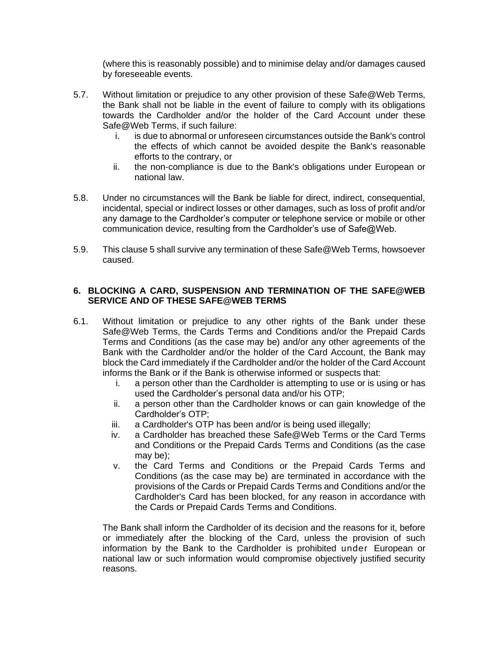(where this is reasonably possible) and to minimise delay and/or damages caused by foreseeable events.

- 5.7. Without limitation or prejudice to any other provision of these Safe@Web Terms, the Bank shall not be liable in the event of failure to comply with its obligations towards the Cardholder and/or the holder of the Card Account under these Safe@Web Terms, if such failure:
	- i. is due to abnormal or unforeseen circumstances outside the Bank's control the effects of which cannot be avoided despite the Bank's reasonable efforts to the contrary, or
	- ii. the non-compliance is due to the Bank's obligations under European or national law.
- 5.8. Under no circumstances will the Bank be liable for direct, indirect, consequential, incidental, special or indirect losses or other damages, such as loss of profit and/or any damage to the Cardholder's computer or telephone service or mobile or other communication device, resulting from the Cardholder's use of Safe@Web.
- 5.9. This clause 5 shall survive any termination of these Safe@Web Terms, howsoever caused.

#### **6. BLOCKING A CARD, SUSPENSION AND TERMINATION OF THE SAFE@WEB SERVICE AND OF THESE SAFE@WEB TERMS**

- 6.1. Without limitation or prejudice to any other rights of the Bank under these Safe@Web Terms, the Cards Terms and Conditions and/or the Prepaid Cards Terms and Conditions (as the case may be) and/or any other agreements of the Bank with the Cardholder and/or the holder of the Card Account, the Bank may block the Card immediately if the Cardholder and/or the holder of the Card Account informs the Bank or if the Bank is otherwise informed or suspects that:
	- i. a person other than the Cardholder is attempting to use or is using or has used the Cardholder's personal data and/or his OTP;
	- ii. a person other than the Cardholder knows or can gain knowledge of the Cardholder's OTP;
	- iii. a Cardholder's OTP has been and/or is being used illegally;
	- iv. a Cardholder has breached these Safe@Web Terms or the Card Terms and Conditions or the Prepaid Cards Terms and Conditions (as the case may be);
	- v. the Card Terms and Conditions or the Prepaid Cards Terms and Conditions (as the case may be) are terminated in accordance with the provisions of the Cards or Prepaid Cards Terms and Conditions and/or the Cardholder's Card has been blocked, for any reason in accordance with the Cards or Prepaid Cards Terms and Conditions.

The Bank shall inform the Cardholder of its decision and the reasons for it, before or immediately after the blocking of the Card, unless the provision of such information by the Bank to the Cardholder is prohibited under European or national law or such information would compromise objectively justified security reasons.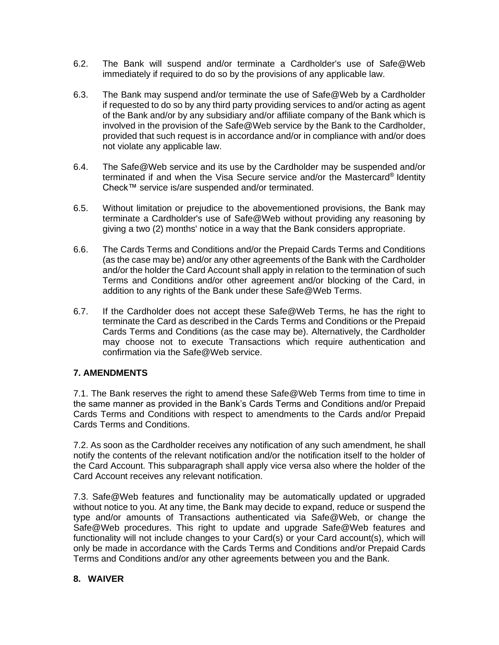- 6.2. The Bank will suspend and/or terminate a Cardholder's use of Safe@Web immediately if required to do so by the provisions of any applicable law.
- 6.3. The Bank may suspend and/or terminate the use of Safe@Web by a Cardholder if requested to do so by any third party providing services to and/or acting as agent of the Bank and/or by any subsidiary and/or affiliate company of the Bank which is involved in the provision of the Safe@Web service by the Bank to the Cardholder, provided that such request is in accordance and/or in compliance with and/or does not violate any applicable law.
- 6.4. The Safe@Web service and its use by the Cardholder may be suspended and/or terminated if and when the Visa Secure service and/or the Mastercard® Identity Check™ service is/are suspended and/or terminated.
- 6.5. Without limitation or prejudice to the abovementioned provisions, the Bank may terminate a Cardholder's use of Safe@Web without providing any reasoning by giving a two (2) months' notice in a way that the Bank considers appropriate.
- 6.6. The Cards Terms and Conditions and/or the Prepaid Cards Terms and Conditions (as the case may be) and/or any other agreements of the Bank with the Cardholder and/or the holder the Card Account shall apply in relation to the termination of such Terms and Conditions and/or other agreement and/or blocking of the Card, in addition to any rights of the Bank under these Safe@Web Terms.
- 6.7. If the Cardholder does not accept these Safe@Web Terms, he has the right to terminate the Card as described in the Cards Terms and Conditions or the Prepaid Cards Terms and Conditions (as the case may be). Alternatively, the Cardholder may choose not to execute Transactions which require authentication and confirmation via the Safe@Web service.

# **7. AMENDMENTS**

7.1. The Bank reserves the right to amend these Safe@Web Terms from time to time in the same manner as provided in the Bank's Cards Terms and Conditions and/or Prepaid Cards Terms and Conditions with respect to amendments to the Cards and/or Prepaid Cards Terms and Conditions.

7.2. As soon as the Cardholder receives any notification of any such amendment, he shall notify the contents of the relevant notification and/or the notification itself to the holder of the Card Account. This subparagraph shall apply vice versa also where the holder of the Card Account receives any relevant notification.

7.3. Safe@Web features and functionality may be automatically updated or upgraded without notice to you. At any time, the Bank may decide to expand, reduce or suspend the type and/or amounts of Transactions authenticated via Safe@Web, or change the Safe@Web procedures. This right to update and upgrade Safe@Web features and functionality will not include changes to your Card(s) or your Card account(s), which will only be made in accordance with the Cards Terms and Conditions and/or Prepaid Cards Terms and Conditions and/or any other agreements between you and the Bank.

#### **8. WAIVER**